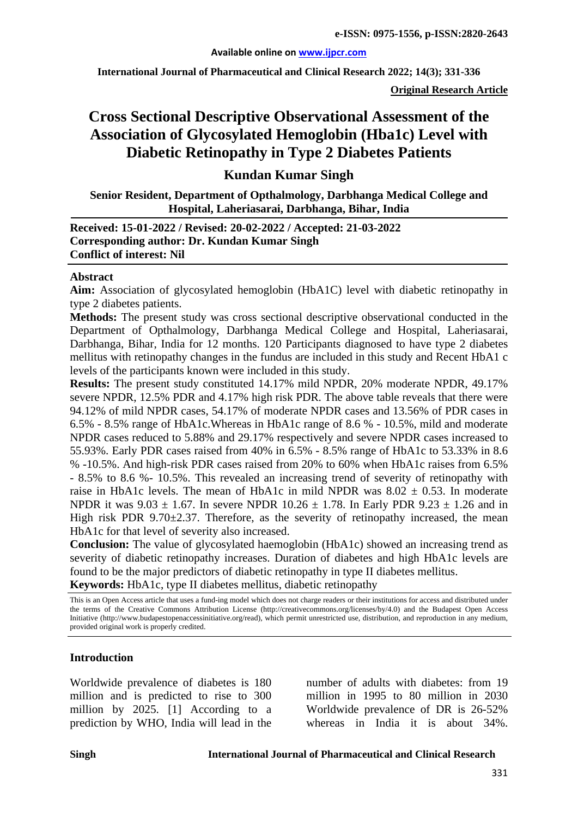#### **Available online on [www.ijpcr.com](http://www.ijpcr.com/)**

**International Journal of Pharmaceutical and Clinical Research 2022; 14(3); 331-336**

**Original Research Article**

# **Cross Sectional Descriptive Observational Assessment of the Association of Glycosylated Hemoglobin (Hba1c) Level with Diabetic Retinopathy in Type 2 Diabetes Patients**

#### **Kundan Kumar Singh**

**Senior Resident, Department of Opthalmology, Darbhanga Medical College and Hospital, Laheriasarai, Darbhanga, Bihar, India**

**Received: 15-01-2022 / Revised: 20-02-2022 / Accepted: 21-03-2022 Corresponding author: Dr. Kundan Kumar Singh Conflict of interest: Nil**

#### **Abstract**

**Aim:** Association of glycosylated hemoglobin (HbA1C) level with diabetic retinopathy in type 2 diabetes patients.

**Methods:** The present study was cross sectional descriptive observational conducted in the Department of Opthalmology, Darbhanga Medical College and Hospital, Laheriasarai, Darbhanga, Bihar, India for 12 months. 120 Participants diagnosed to have type 2 diabetes mellitus with retinopathy changes in the fundus are included in this study and Recent HbA1 c levels of the participants known were included in this study.

**Results:** The present study constituted 14.17% mild NPDR, 20% moderate NPDR, 49.17% severe NPDR, 12.5% PDR and 4.17% high risk PDR. The above table reveals that there were 94.12% of mild NPDR cases, 54.17% of moderate NPDR cases and 13.56% of PDR cases in 6.5% - 8.5% range of HbA1c.Whereas in HbA1c range of 8.6 % - 10.5%, mild and moderate NPDR cases reduced to 5.88% and 29.17% respectively and severe NPDR cases increased to 55.93%. Early PDR cases raised from 40% in 6.5% - 8.5% range of HbA1c to 53.33% in 8.6 % -10.5%. And high-risk PDR cases raised from 20% to 60% when HbA1c raises from 6.5% - 8.5% to 8.6 %- 10.5%. This revealed an increasing trend of severity of retinopathy with raise in HbA1c levels. The mean of HbA1c in mild NPDR was  $8.02 \pm 0.53$ . In moderate NPDR it was  $9.03 \pm 1.67$ . In severe NPDR  $10.26 \pm 1.78$ . In Early PDR  $9.23 \pm 1.26$  and in High risk PDR  $9.70\pm2.37$ . Therefore, as the severity of retinopathy increased, the mean HbA1c for that level of severity also increased.

**Conclusion:** The value of glycosylated haemoglobin (HbA1c) showed an increasing trend as severity of diabetic retinopathy increases. Duration of diabetes and high HbA1c levels are found to be the major predictors of diabetic retinopathy in type II diabetes mellitus. **Keywords:** HbA1c, type II diabetes mellitus, diabetic retinopathy

This is an Open Access article that uses a fund-ing model which does not charge readers or their institutions for access and distributed under the terms of the Creative Commons Attribution License (http://creativecommons.org/licenses/by/4.0) and the Budapest Open Access Initiative (http://www.budapestopenaccessinitiative.org/read), which permit unrestricted use, distribution, and reproduction in any medium, provided original work is properly credited.

#### **Introduction**

Worldwide prevalence of diabetes is 180 million and is predicted to rise to 300 million by 2025. [1] According to a prediction by WHO, India will lead in the

number of adults with diabetes: from 19 million in 1995 to 80 million in 2030 Worldwide prevalence of DR is 26-52% whereas in India it is about 34%.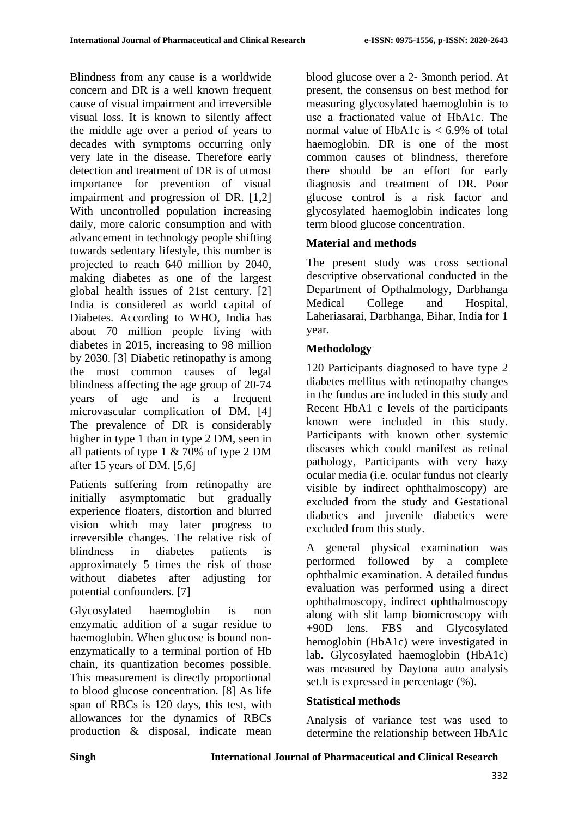Blindness from any cause is a worldwide concern and DR is a well known frequent cause of visual impairment and irreversible visual loss. It is known to silently affect the middle age over a period of years to decades with symptoms occurring only very late in the disease. Therefore early detection and treatment of DR is of utmost importance for prevention of visual impairment and progression of DR. [1,2] With uncontrolled population increasing daily, more caloric consumption and with advancement in technology people shifting towards sedentary lifestyle, this number is projected to reach 640 million by 2040, making diabetes as one of the largest global health issues of 21st century. [2] India is considered as world capital of Diabetes. According to WHO, India has about 70 million people living with diabetes in 2015, increasing to 98 million by 2030. [3] Diabetic retinopathy is among the most common causes of legal blindness affecting the age group of 20-74 years of age and is a frequent microvascular complication of DM. [4] The prevalence of DR is considerably higher in type 1 than in type 2 DM, seen in all patients of type 1 & 70% of type 2 DM after 15 years of DM. [5,6]

Patients suffering from retinopathy are initially asymptomatic but gradually experience floaters, distortion and blurred vision which may later progress to irreversible changes. The relative risk of blindness in diabetes patients is approximately 5 times the risk of those without diabetes after adjusting for potential confounders. [7]

Glycosylated haemoglobin is non enzymatic addition of a sugar residue to haemoglobin. When glucose is bound nonenzymatically to a terminal portion of Hb chain, its quantization becomes possible. This measurement is directly proportional to blood glucose concentration. [8] As life span of RBCs is 120 days, this test, with allowances for the dynamics of RBCs production & disposal, indicate mean blood glucose over a 2- 3month period. At present, the consensus on best method for measuring glycosylated haemoglobin is to use a fractionated value of HbA1c. The normal value of HbA1c is  $< 6.9\%$  of total haemoglobin. DR is one of the most common causes of blindness, therefore there should be an effort for early diagnosis and treatment of DR. Poor glucose control is a risk factor and glycosylated haemoglobin indicates long term blood glucose concentration.

# **Material and methods**

The present study was cross sectional descriptive observational conducted in the Department of Opthalmology, Darbhanga Medical College and Hospital, Laheriasarai, Darbhanga, Bihar, India for 1 year.

## **Methodology**

120 Participants diagnosed to have type 2 diabetes mellitus with retinopathy changes in the fundus are included in this study and Recent HbA1 c levels of the participants known were included in this study. Participants with known other systemic diseases which could manifest as retinal pathology, Participants with very hazy ocular media (i.e. ocular fundus not clearly visible by indirect ophthalmoscopy) are excluded from the study and Gestational diabetics and juvenile diabetics were excluded from this study.

A general physical examination was performed followed by a complete ophthalmic examination. A detailed fundus evaluation was performed using a direct ophthalmoscopy, indirect ophthalmoscopy along with slit lamp biomicroscopy with +90D lens. FBS and Glycosylated hemoglobin (HbA1c) were investigated in lab. Glycosylated haemoglobin (HbA1c) was measured by Daytona auto analysis set.lt is expressed in percentage (%).

### **Statistical methods**

Analysis of variance test was used to determine the relationship between HbA1c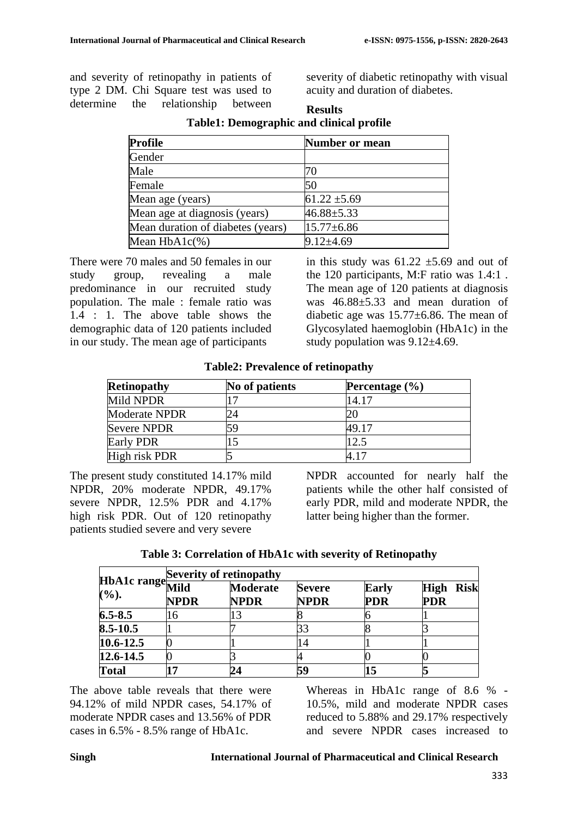and severity of retinopathy in patients of type 2 DM. Chi Square test was used to determine the relationship between severity of diabetic retinopathy with visual acuity and duration of diabetes.

| <b>Profile</b>                    | Number or mean   |
|-----------------------------------|------------------|
| Gender                            |                  |
| Male                              | 70               |
| Female                            | 50               |
| Mean age (years)                  | $61.22 \pm 5.69$ |
| Mean age at diagnosis (years)     | $46.88 \pm 5.33$ |
| Mean duration of diabetes (years) | $15.77 \pm 6.86$ |
| Mean $HbA1c(\%)$                  | $9.12{\pm}4.69$  |

**Results Table1: Demographic and clinical profile**

There were 70 males and 50 females in our study group, revealing a male predominance in our recruited study population. The male : female ratio was 1.4 : 1. The above table shows the demographic data of 120 patients included in our study. The mean age of participants

in this study was  $61.22 \pm 5.69$  and out of the 120 participants, M:F ratio was 1.4:1 . The mean age of 120 patients at diagnosis was 46.88±5.33 and mean duration of diabetic age was 15.77±6.86. The mean of Glycosylated haemoglobin (HbA1c) in the study population was  $9.12\pm4.69$ .

**Table2: Prevalence of retinopathy**

| <b>Retinopathy</b> | No of patients | Percentage $(\% )$ |
|--------------------|----------------|--------------------|
| Mild NPDR          |                | 14.17              |
| Moderate NPDR      | 24             |                    |
| <b>Severe NPDR</b> | 59             | 49.17              |
| Early PDR          |                | 12.5               |
| High risk PDR      |                | 117                |

The present study constituted 14.17% mild NPDR, 20% moderate NPDR, 49.17% severe NPDR, 12.5% PDR and 4.17% high risk PDR. Out of 120 retinopathy patients studied severe and very severe

NPDR accounted for nearly half the patients while the other half consisted of early PDR, mild and moderate NPDR, the latter being higher than the former.

| Table 3: Correlation of HbA1c with severity of Retinopathy |  |  |  |
|------------------------------------------------------------|--|--|--|
|                                                            |  |  |  |

|                          | <b>Severity of retinopathy</b> |                                |                              |                            |                                |  |
|--------------------------|--------------------------------|--------------------------------|------------------------------|----------------------------|--------------------------------|--|
| HbA1c range Mild<br>(%). | <b>NPDR</b>                    | <b>Moderate</b><br><b>NPDR</b> | <b>Severe</b><br><b>NPDR</b> | <b>Early</b><br><b>PDR</b> | <b>High Risk</b><br><b>PDR</b> |  |
| $6.5 - 8.5$              | 16                             |                                |                              |                            |                                |  |
| 8.5-10.5                 |                                |                                | 33                           |                            |                                |  |
| $10.6 - 12.5$            |                                |                                | 14                           |                            |                                |  |
| $12.6 - 14.5$            |                                |                                |                              |                            |                                |  |
| <b>Total</b>             |                                |                                | 59                           |                            |                                |  |

The above table reveals that there were 94.12% of mild NPDR cases, 54.17% of moderate NPDR cases and 13.56% of PDR cases in 6.5% - 8.5% range of HbA1c.

Whereas in HbA1c range of 8.6 % - 10.5%, mild and moderate NPDR cases reduced to 5.88% and 29.17% respectively and severe NPDR cases increased to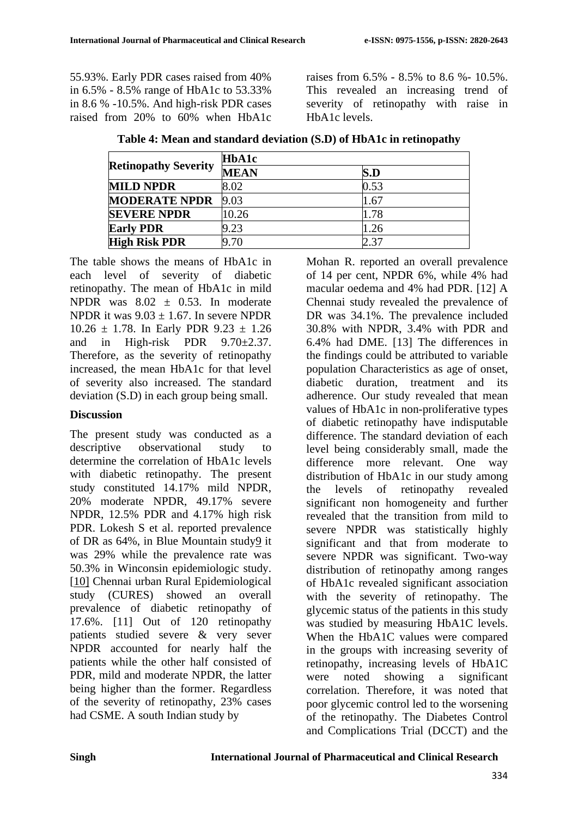55.93%. Early PDR cases raised from 40% in 6.5% - 8.5% range of HbA1c to 53.33% in 8.6 % -10.5%. And high-risk PDR cases raised from 20% to 60% when HbA1c raises from 6.5% - 8.5% to 8.6 %- 10.5%. This revealed an increasing trend of severity of retinopathy with raise in HbA1c levels.

| <b>Retinopathy Severity</b> | <b>HbA1c</b> |      |  |
|-----------------------------|--------------|------|--|
|                             | <b>MEAN</b>  | S.D  |  |
| <b>MILD NPDR</b>            | 8.02         | 0.53 |  |
| <b>MODERATE NPDR</b>        | 9.03         | 1.67 |  |
| <b>SEVERE NPDR</b>          | 10.26        | 1.78 |  |
| <b>Early PDR</b>            | 9.23         | 1.26 |  |
| <b>High Risk PDR</b>        | 9.70         | 2.37 |  |

**Table 4: Mean and standard deviation (S.D) of HbA1c in retinopathy**

The table shows the means of HbA1c in each level of severity of diabetic retinopathy. The mean of HbA1c in mild NPDR was  $8.02 \pm 0.53$ . In moderate NPDR it was  $9.03 \pm 1.67$ . In severe NPDR  $10.26 \pm 1.78$ . In Early PDR  $9.23 \pm 1.26$ and in High-risk PDR 9.70±2.37. Therefore, as the severity of retinopathy increased, the mean HbA1c for that level of severity also increased. The standard deviation (S.D) in each group being small.

#### **Discussion**

The present study was conducted as a descriptive observational study to determine the correlation of HbA1c levels with diabetic retinopathy. The present study constituted 14.17% mild NPDR, 20% moderate NPDR, 49.17% severe NPDR, 12.5% PDR and 4.17% high risk PDR. Lokesh S et al. reported prevalence of DR as 64%, in Blue Mountain stud[y9](#page-4-0) it was 29% while the prevalence rate was 50.3% in Winconsin epidemiologic study. [\[10\]](#page-4-1) Chennai urban Rural Epidemiological study (CURES) showed an overall prevalence of diabetic retinopathy of 17.6%. [11] Out of 120 retinopathy patients studied severe & very sever NPDR accounted for nearly half the patients while the other half consisted of PDR, mild and moderate NPDR, the latter being higher than the former. Regardless of the severity of retinopathy, 23% cases had CSME. A south Indian study by

Mohan R. reported an overall prevalence of 14 per cent, NPDR 6%, while 4% had macular oedema and 4% had PDR. [12] A Chennai study revealed the prevalence of DR was  $34.1\%$ . The prevalence included 30.8% with NPDR, 3.4% with PDR and 6.4% had DME. [13] The differences in the findings could be attributed to variable population Characteristics as age of onset, diabetic duration, treatment and its adherence. Our study revealed that mean values of HbA1c in non-proliferative types of diabetic retinopathy have indisputable difference. The standard deviation of each level being considerably small, made the difference more relevant. One way distribution of HbA1c in our study among the levels of retinopathy revealed significant non homogeneity and further revealed that the transition from mild to severe NPDR was statistically highly significant and that from moderate to severe NPDR was significant. Two-way distribution of retinopathy among ranges of HbA1c revealed significant association with the severity of retinopathy. The glycemic status of the patients in this study was studied by measuring HbA1C levels. When the HbA1C values were compared in the groups with increasing severity of retinopathy, increasing levels of HbA1C were noted showing a significant correlation. Therefore, it was noted that poor glycemic control led to the worsening of the retinopathy. The Diabetes Control and Complications Trial (DCCT) and the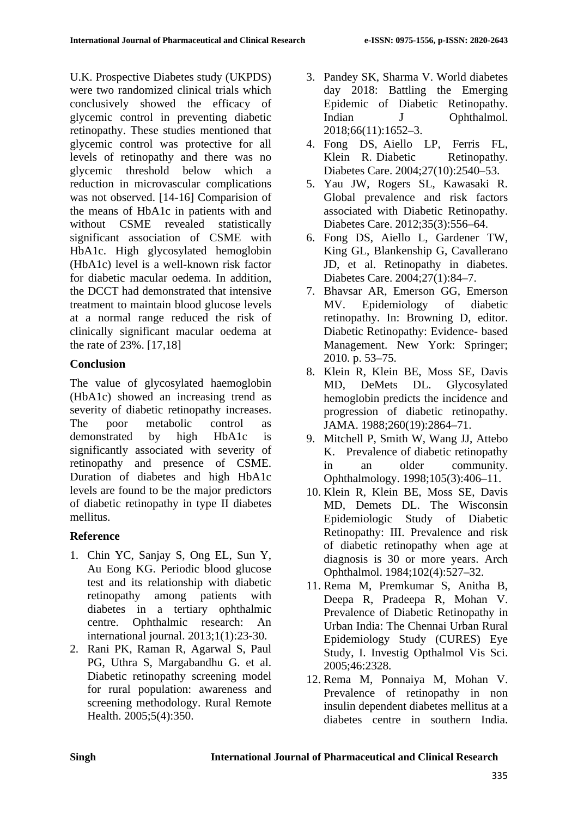U.K. Prospective Diabetes study (UKPDS) were two randomized clinical trials which conclusively showed the efficacy of glycemic control in preventing diabetic retinopathy. These studies mentioned that glycemic control was protective for all levels of retinopathy and there was no glycemic threshold below which a reduction in microvascular complications was not observed. [14-16] Comparision of the means of HbA1c in patients with and without CSME revealed statistically significant association of CSME with HbA1c. High glycosylated hemoglobin (HbA1c) level is a well-known risk factor for diabetic macular oedema. In addition, the DCCT had demonstrated that intensive treatment to maintain blood glucose levels at a normal range reduced the risk of clinically significant macular oedema at the rate of 23%. [17,18]

### **Conclusion**

The value of glycosylated haemoglobin (HbA1c) showed an increasing trend as severity of diabetic retinopathy increases. The poor metabolic control as demonstrated by high HbA1c is significantly associated with severity of retinopathy and presence of CSME. Duration of diabetes and high HbA1c levels are found to be the major predictors of diabetic retinopathy in type II diabetes mellitus.

# **Reference**

- 1. Chin YC, Sanjay S, Ong EL, Sun Y, Au Eong KG. Periodic blood glucose test and its relationship with diabetic retinopathy among patients with diabetes in a tertiary ophthalmic centre. Ophthalmic research: An international journal. 2013;1(1):23-30.
- 2. Rani PK, Raman R, Agarwal S, Paul PG, Uthra S, Margabandhu G. et al. Diabetic retinopathy screening model for rural population: awareness and screening methodology. Rural Remote Health. 2005;5(4):350.
- 3. Pandey SK, Sharma V. World diabetes day 2018: Battling the Emerging Epidemic of Diabetic Retinopathy. Indian J Ophthalmol. 2018;66(11):1652–3.
- 4. Fong DS, Aiello LP, Ferris FL, Klein R. Diabetic Retinopathy. Diabetes Care. 2004;27(10):2540–53.
- 5. Yau JW, Rogers SL, Kawasaki R. Global prevalence and risk factors associated with Diabetic Retinopathy. Diabetes Care. 2012;35(3):556–64.
- 6. Fong DS, Aiello L, Gardener TW, King GL, Blankenship G, Cavallerano JD, et al. Retinopathy in diabetes. Diabetes Care. 2004;27(1):84–7.
- 7. Bhavsar AR, Emerson GG, Emerson MV. Epidemiology of diabetic retinopathy. In: Browning D, editor. Diabetic Retinopathy: Evidence- based Management. New York: Springer; 2010. p. 53–75.
- 8. Klein R, Klein BE, Moss SE, Davis MD, DeMets DL. Glycosylated hemoglobin predicts the incidence and progression of diabetic retinopathy. JAMA. 1988;260(19):2864–71.
- <span id="page-4-0"></span>9. Mitchell P, Smith W, Wang JJ, Attebo K. Prevalence of diabetic retinopathy in an older community. Ophthalmology. 1998;105(3):406–11.
- <span id="page-4-1"></span>10. Klein R, Klein BE, Moss SE, Davis MD, Demets DL. The Wisconsin Epidemiologic Study of Diabetic Retinopathy: III. Prevalence and risk of diabetic retinopathy when age at diagnosis is 30 or more years. Arch Ophthalmol. 1984;102(4):527–32.
- 11. Rema M, Premkumar S, Anitha B, Deepa R, Pradeepa R, Mohan V. Prevalence of Diabetic Retinopathy in Urban India: The Chennai Urban Rural Epidemiology Study (CURES) Eye Study, I. Investig Opthalmol Vis Sci. 2005;46:2328.
- 12. Rema M, Ponnaiya M, Mohan V. Prevalence of retinopathy in non insulin dependent diabetes mellitus at a diabetes centre in southern India.